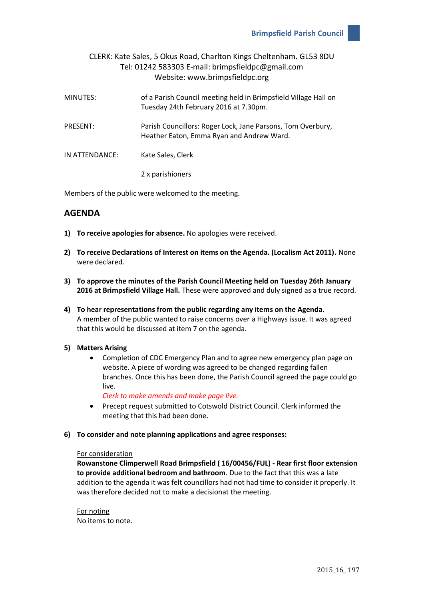# CLERK: Kate Sales, 5 Okus Road, Charlton Kings Cheltenham. GL53 8DU Tel: 01242 583303 E-mail: brimpsfieldpc@gmail.com Website: www.brimpsfieldpc.org

| MINUTES:        | of a Parish Council meeting held in Brimpsfield Village Hall on<br>Tuesday 24th February 2016 at 7.30pm. |
|-----------------|----------------------------------------------------------------------------------------------------------|
| <b>PRESENT:</b> | Parish Councillors: Roger Lock, Jane Parsons, Tom Overbury,<br>Heather Eaton, Emma Ryan and Andrew Ward. |
| IN ATTENDANCE:  | Kate Sales, Clerk                                                                                        |
|                 | 2 x parishioners                                                                                         |

Members of the public were welcomed to the meeting.

# **AGENDA**

- **1) To receive apologies for absence.** No apologies were received.
- **2) To receive Declarations of Interest on items on the Agenda. (Localism Act 2011).** None were declared.
- **3) To approve the minutes of the Parish Council Meeting held on Tuesday 26th January 2016 at Brimpsfield Village Hall.** These were approved and duly signed as a true record.
- **4) To hear representations from the public regarding any items on the Agenda.** A member of the public wanted to raise concerns over a Highways issue. It was agreed that this would be discussed at item 7 on the agenda.

#### **5) Matters Arising**

 Completion of CDC Emergency Plan and to agree new emergency plan page on website. A piece of wording was agreed to be changed regarding fallen branches. Once this has been done, the Parish Council agreed the page could go live.

*Clerk to make amends and make page live.*

 Precept request submitted to Cotswold District Council. Clerk informed the meeting that this had been done.

#### **6) To consider and note planning applications and agree responses:**

#### For consideration

**Rowanstone Climperwell Road Brimpsfield ( 16/00456/FUL) - Rear first floor extension to provide additional bedroom and bathroom**. Due to the fact that this was a late addition to the agenda it was felt councillors had not had time to consider it properly. It was therefore decided not to make a decisionat the meeting.

For noting No items to note.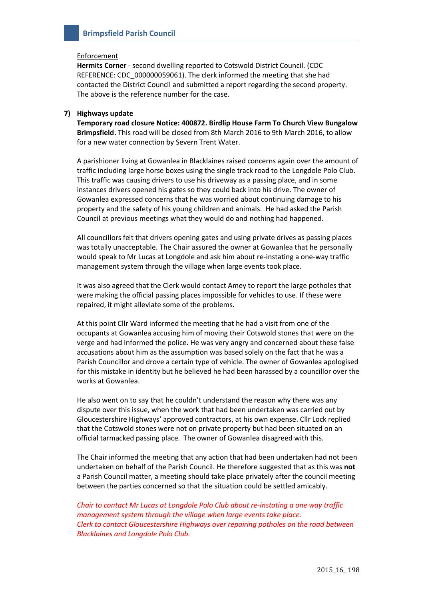#### Enforcement

**Hermits Corner** - second dwelling reported to Cotswold District Council. (CDC REFERENCE: CDC\_000000059061). The clerk informed the meeting that she had contacted the District Council and submitted a report regarding the second property. The above is the reference number for the case.

## **7) Highways update**

**Temporary road closure Notice: 400872. Birdlip House Farm To Church View Bungalow Brimpsfield.** This road will be closed from 8th March 2016 to 9th March 2016, to allow for a new water connection by Severn Trent Water.

A parishioner living at Gowanlea in Blacklaines raised concerns again over the amount of traffic including large horse boxes using the single track road to the Longdole Polo Club. This traffic was causing drivers to use his driveway as a passing place, and in some instances drivers opened his gates so they could back into his drive. The owner of Gowanlea expressed concerns that he was worried about continuing damage to his property and the safety of his young children and animals. He had asked the Parish Council at previous meetings what they would do and nothing had happened.

All councillors felt that drivers opening gates and using private drives as passing places was totally unacceptable. The Chair assured the owner at Gowanlea that he personally would speak to Mr Lucas at Longdole and ask him about re-instating a one-way traffic management system through the village when large events took place.

It was also agreed that the Clerk would contact Amey to report the large potholes that were making the official passing places impossible for vehicles to use. If these were repaired, it might alleviate some of the problems.

At this point Cllr Ward informed the meeting that he had a visit from one of the occupants at Gowanlea accusing him of moving their Cotswold stones that were on the verge and had informed the police. He was very angry and concerned about these false accusations about him as the assumption was based solely on the fact that he was a Parish Councillor and drove a certain type of vehicle. The owner of Gowanlea apologised for this mistake in identity but he believed he had been harassed by a councillor over the works at Gowanlea.

He also went on to say that he couldn't understand the reason why there was any dispute over this issue, when the work that had been undertaken was carried out by Gloucestershire Highways' approved contractors, at his own expense. Cllr Lock replied that the Cotswold stones were not on private property but had been situated on an official tarmacked passing place. The owner of Gowanlea disagreed with this.

The Chair informed the meeting that any action that had been undertaken had not been undertaken on behalf of the Parish Council. He therefore suggested that as this was **not**  a Parish Council matter, a meeting should take place privately after the council meeting between the parties concerned so that the situation could be settled amicably.

*Chair to contact Mr Lucas at Longdole Polo Club about re-instating a one way traffic management system through the village when large events take place. Clerk to contact Gloucestershire Highways over repairing potholes on the road between Blacklaines and Longdole Polo Club.*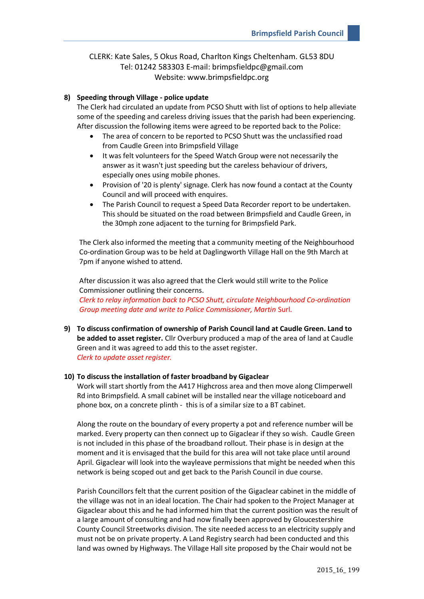# CLERK: Kate Sales, 5 Okus Road, Charlton Kings Cheltenham. GL53 8DU Tel: 01242 583303 E-mail: brimpsfieldpc@gmail.com Website: www.brimpsfieldpc.org

## **8) Speeding through Village - police update**

The Clerk had circulated an update from PCSO Shutt with list of options to help alleviate some of the speeding and careless driving issues that the parish had been experiencing. After discussion the following items were agreed to be reported back to the Police:

- The area of concern to be reported to PCSO Shutt was the unclassified road from Caudle Green into Brimpsfield Village
- It was felt volunteers for the Speed Watch Group were not necessarily the answer as it wasn't just speeding but the careless behaviour of drivers, especially ones using mobile phones.
- Provision of '20 is plenty' signage. Clerk has now found a contact at the County Council and will proceed with enquires.
- The Parish Council to request a Speed Data Recorder report to be undertaken. This should be situated on the road between Brimpsfield and Caudle Green, in the 30mph zone adjacent to the turning for Brimpsfield Park.

The Clerk also informed the meeting that a community meeting of the Neighbourhood Co-ordination Group was to be held at Daglingworth Village Hall on the 9th March at 7pm if anyone wished to attend.

After discussion it was also agreed that the Clerk would still write to the Police Commissioner outlining their concerns.

*Clerk to relay information back to PCSO Shutt, circulate Neighbourhood Co-ordination Group meeting date and write to Police Commissioner, Martin* Surl.

**9) To discuss confirmation of ownership of Parish Council land at Caudle Green. Land to be added to asset register.** Cllr Overbury produced a map of the area of land at Caudle Green and it was agreed to add this to the asset register. *Clerk to update asset register.*

#### **10) To discuss the installation of faster broadband by Gigaclear**

Work will start shortly from the A417 Highcross area and then move along Climperwell Rd into Brimpsfield. A small cabinet will be installed near the village noticeboard and phone box, on a concrete plinth - this is of a similar size to a BT cabinet.

Along the route on the boundary of every property a pot and reference number will be marked. Every property can then connect up to Gigaclear if they so wish. Caudle Green is not included in this phase of the broadband rollout. Their phase is in design at the moment and it is envisaged that the build for this area will not take place until around April. Gigaclear will look into the wayleave permissions that might be needed when this network is being scoped out and get back to the Parish Council in due course.

Parish Councillors felt that the current position of the Gigaclear cabinet in the middle of the village was not in an ideal location. The Chair had spoken to the Project Manager at Gigaclear about this and he had informed him that the current position was the result of a large amount of consulting and had now finally been approved by Gloucestershire County Council Streetworks division. The site needed access to an electricity supply and must not be on private property. A Land Registry search had been conducted and this land was owned by Highways. The Village Hall site proposed by the Chair would not be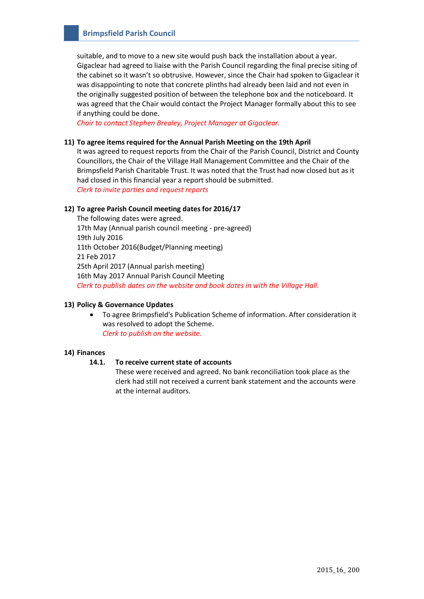suitable, and to move to a new site would push back the installation about a year. Gigaclear had agreed to liaise with the Parish Council regarding the final precise siting of the cabinet so it wasn't so obtrusive. However, since the Chair had spoken to Gigaclear it was disappointing to note that concrete plinths had already been laid and not even in the originally suggested position of between the telephone box and the noticeboard. It was agreed that the Chair would contact the Project Manager formally about this to see if anything could be done.

*Chair to contact Stephen Brealey, Project Manager at Gigaclear.*

#### **11) To agree items required for the Annual Parish Meeting on the 19th April**

It was agreed to request reports from the Chair of the Parish Council, District and County Councillors, the Chair of the Village Hall Management Committee and the Chair of the Brimpsfield Parish Charitable Trust. It was noted that the Trust had now closed but as it had closed in this financial year a report should be submitted. *Clerk to invite parties and request reports*

#### **12) To agree Parish Council meeting dates for 2016/17**

The following dates were agreed. 17th May (Annual parish council meeting - pre-agreed) 19th July 2016 11th October 2016(Budget/Planning meeting) 21 Feb 2017 25th April 2017 (Annual parish meeting) 16th May 2017 Annual Parish Council Meeting *Clerk to publish dates on the website and book dates in with the Village Hall.*

# **13) Policy & Governance Updates**

 To agree Brimpsfield's Publication Scheme of information. After consideration it was resolved to adopt the Scheme. *Clerk to publish on the website.*

# **14) Finances**

## **14.1. To receive current state of accounts**

These were received and agreed. No bank reconciliation took place as the clerk had still not received a current bank statement and the accounts were at the internal auditors.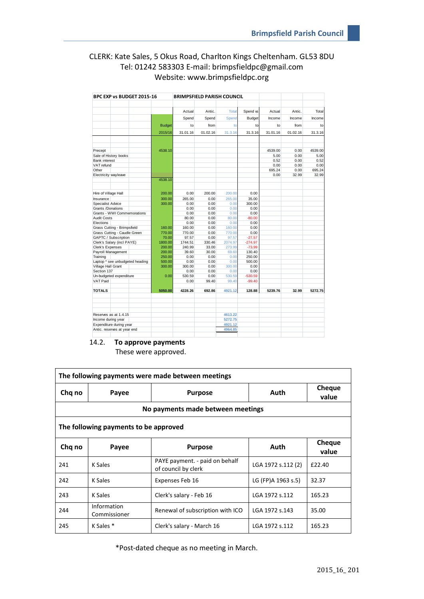# CLERK: Kate Sales, 5 Okus Road, Charlton Kings Cheltenham. GL53 8DU Tel: 01242 583303 E-mail: brimpsfieldpc@gmail.com Website: www.brimpsfieldpc.org

|                                                                                          |                                             | Actual                                                | Antic.         | <b>Total</b>     | Spend vs              | Actual             | Antic.       | Total           |
|------------------------------------------------------------------------------------------|---------------------------------------------|-------------------------------------------------------|----------------|------------------|-----------------------|--------------------|--------------|-----------------|
|                                                                                          |                                             | Spend                                                 | Spend          | Spend            | Budget                | Income             | Income       | Income          |
|                                                                                          | <b>Budget</b>                               | to                                                    | from           | to               | to                    | to                 | from         | to              |
|                                                                                          | 2015/16                                     | 31.01.16                                              | 01.02.16       | 31.3.16          | 31.3.16               | 31.01.16           | 01.02.16     | 31.3.16         |
|                                                                                          |                                             |                                                       |                |                  |                       |                    |              |                 |
| Precept<br>Sale of History books                                                         | 4538.10                                     |                                                       |                |                  |                       | 4539.00<br>5.00    | 0.00<br>0.00 | 4539.00<br>5.00 |
| <b>Bank interest</b>                                                                     |                                             |                                                       |                |                  |                       | 0.52               | 0.00         | 0.52            |
| VAT refund<br>Other                                                                      |                                             |                                                       |                |                  |                       | 0.00<br>695.24     | 0.00<br>0.00 | 0.00<br>695.24  |
| Electricity wayleave                                                                     |                                             |                                                       |                |                  |                       | 0.00               | 32.99        | 32.99           |
|                                                                                          | 4538.10                                     |                                                       |                |                  |                       |                    |              |                 |
| Hire of Village Hall                                                                     | 200.00                                      | 0.00                                                  | 200.00         | 200.00           | 0.00                  |                    |              |                 |
| Insurance                                                                                | 300.00                                      | 265.00                                                | 0.00           | 265.00           | 35.00                 |                    |              |                 |
| Specialist Advice                                                                        | 300.00                                      | 0.00                                                  | 0.00           | 0.00             | 300.00                |                    |              |                 |
| Grants /Donations                                                                        |                                             | 0.00                                                  | 0.00           | 0.00<br>0.00     | 0.00                  |                    |              |                 |
| Grants - WWI Commemorations<br><b>Audit Costs</b>                                        |                                             | 0.00<br>80.00                                         | 0.00<br>0.00   | 80.00            | 0.00<br>$-80.00$      |                    |              |                 |
| Elections                                                                                |                                             | 0.00                                                  | 0.00           | 0.00             | 0.00                  |                    |              |                 |
| Grass Cutting - Brimpsfield                                                              | 160.00                                      | 160.00                                                | 0.00           | 160.00           | 0.00                  |                    |              |                 |
| Grass Cutting - Caudle Green                                                             | 770.00                                      | 770.00                                                | 0.00           | 770.00           | 0.00                  |                    |              |                 |
| GAPTC / Subscription<br>Clerk's Salary (incl PAYE)                                       | 70.00<br>1800.00                            | 97.57<br>1744.51                                      | 0.00<br>330.46 | 97.57<br>2074.97 | $-27.57$<br>$-274.97$ |                    |              |                 |
| <b>Clerk's Expenses</b>                                                                  | 200.00                                      | 240.99                                                | 33.00          | 273.99           | $-73.99$              |                    |              |                 |
| Payroll Management                                                                       | 200.00                                      | 39.60                                                 | 30.00          | 69.60            | 130.40                |                    |              |                 |
| Training                                                                                 | 250.00                                      | 0.00                                                  | 0.00           | 0.00             | 250.00                |                    |              |                 |
| Laptop * see unbudgeted heading                                                          | 500.00                                      | 0.00                                                  | 0.00           | 0.00             | 500.00                |                    |              |                 |
| Village Hall Grant<br>Section 137                                                        | 300.00                                      | 300.00<br>0.00                                        | 0.00<br>0.00   | 300.00<br>0.00   | 0.00<br>0.00          |                    |              |                 |
| Un-budgeted expenditure                                                                  | 0.00                                        | 530.59                                                | 0.00           | 530.59           | $-530.59$             |                    |              |                 |
| VAT Paid                                                                                 |                                             | 0.00                                                  | 99.40          | 99.40            | $-99.40$              |                    |              |                 |
| <b>TOTALS</b>                                                                            |                                             |                                                       |                |                  |                       |                    |              |                 |
|                                                                                          | 5050.00                                     | 4228.26                                               | 692.86         | 4921.12          | 128.88                | 5239.76            | 32.99        | 5272.75         |
|                                                                                          |                                             |                                                       |                |                  |                       |                    |              |                 |
| Reserves as at 1.4.15                                                                    |                                             |                                                       |                | 4613.22          |                       |                    |              |                 |
| Income during year                                                                       |                                             |                                                       |                | 5272.75          |                       |                    |              |                 |
| Expenditure during year                                                                  |                                             |                                                       |                | 4921.12          |                       |                    |              |                 |
|                                                                                          |                                             |                                                       |                |                  |                       |                    |              |                 |
| Antic. reserves at year end                                                              |                                             |                                                       |                | 4964.85          |                       |                    |              |                 |
|                                                                                          | To approve payments<br>These were approved. |                                                       |                |                  |                       |                    |              |                 |
| Payee                                                                                    |                                             |                                                       | <b>Purpose</b> |                  |                       | Auth               |              |                 |
|                                                                                          | No payments made between meetings           |                                                       |                |                  |                       |                    |              | Ch<br>V         |
|                                                                                          |                                             |                                                       |                |                  |                       |                    |              |                 |
| 14.2.<br>ing payments were made between meetings<br>ing payments to be approved<br>Payee |                                             |                                                       | <b>Purpose</b> |                  |                       | Auth               |              | Ch<br>V         |
| K Sales                                                                                  |                                             | PAYE payment. - paid on behalf<br>of council by clerk |                |                  |                       | LGA 1972 s.112 (2) |              | £22.4           |
| K Sales                                                                                  |                                             | Expenses Feb 16                                       |                |                  |                       | LG (FP)A 1963 s.5) |              |                 |
| K Sales                                                                                  |                                             | Clerk's salary - Feb 16                               |                |                  |                       | LGA 1972 s.112     |              |                 |
| Information                                                                              |                                             |                                                       |                |                  |                       |                    |              | 32.37<br>165.2  |
| Commissioner                                                                             |                                             | Renewal of subscription with ICO                      |                |                  |                       | LGA 1972 s.143     |              | 35.00           |

# 14.2. **To approve payments**

| The following payments were made between meetings |                             |                                                       |                    |                 |  |  |  |  |  |  |
|---------------------------------------------------|-----------------------------|-------------------------------------------------------|--------------------|-----------------|--|--|--|--|--|--|
| Chq no                                            | Payee                       | <b>Purpose</b>                                        | Auth               | Cheque<br>value |  |  |  |  |  |  |
| No payments made between meetings                 |                             |                                                       |                    |                 |  |  |  |  |  |  |
| The following payments to be approved             |                             |                                                       |                    |                 |  |  |  |  |  |  |
| Chq no                                            | Payee                       | <b>Purpose</b>                                        | Auth               | Cheque<br>value |  |  |  |  |  |  |
| 241                                               | K Sales                     | PAYE payment. - paid on behalf<br>of council by clerk | LGA 1972 s.112 (2) | £22.40          |  |  |  |  |  |  |
| 242                                               | K Sales                     | Expenses Feb 16                                       | LG (FP)A 1963 s.5) | 32.37           |  |  |  |  |  |  |
| 243                                               | K Sales                     | Clerk's salary - Feb 16                               | LGA 1972 s.112     | 165.23          |  |  |  |  |  |  |
| 244                                               | Information<br>Commissioner | Renewal of subscription with ICO                      | LGA 1972 s.143     | 35.00           |  |  |  |  |  |  |
| 245                                               | K Sales *                   | Clerk's salary - March 16                             | LGA 1972 s.112     | 165.23          |  |  |  |  |  |  |